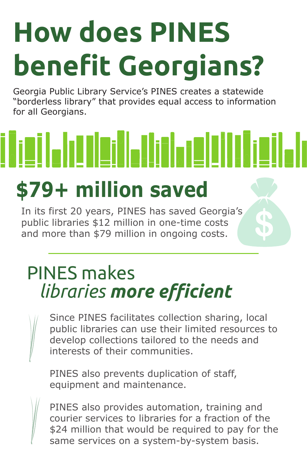## **How does PINES benefit Georgians?**

Georgia Public Library Service's PINES creates a statewide "borderless library" that provides equal access to information for all Georgians.

## **\$79+ million saved**

In its first 20 years, PINES has saved Georgia's public libraries \$12 million in one-time costs and more than \$79 million in ongoing costs.

## PINES makes *libraries more efficient*

Since PINES facilitates collection sharing, local public libraries can use their limited resources to develop collections tailored to the needs and interests of their communities.

PINES also prevents duplication of staff, equipment and maintenance.

PINES also provides automation, training and courier services to libraries for a fraction of the \$24 million that would be required to pay for the same services on a system-by-system basis.